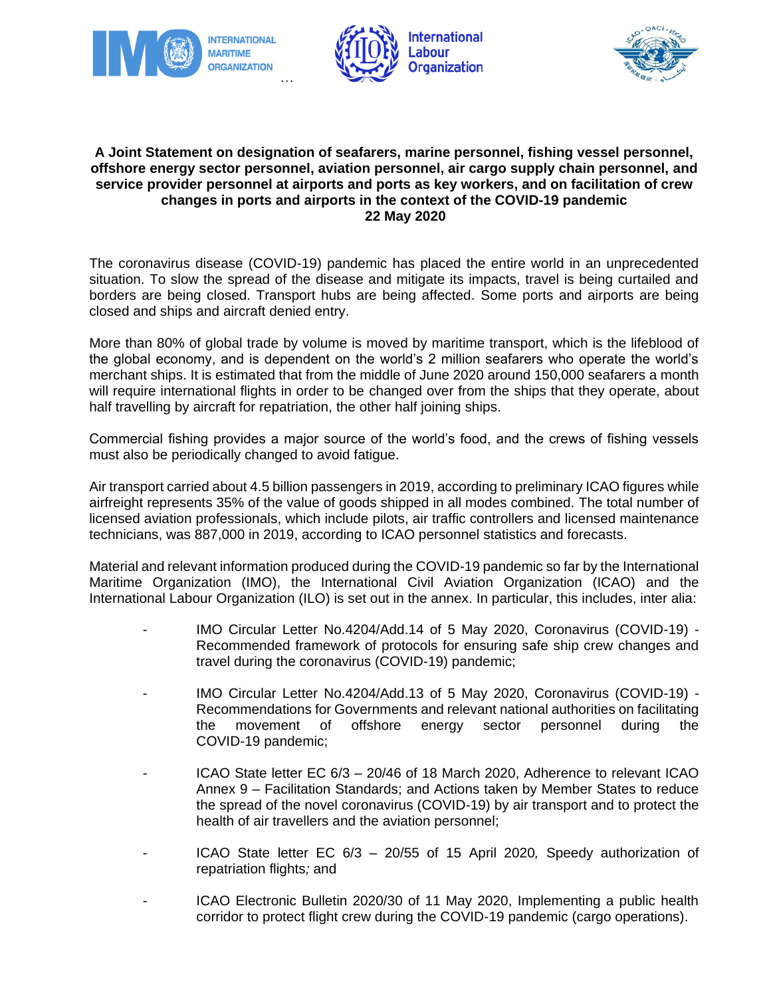





## **A Joint Statement on designation of seafarers, marine personnel, fishing vessel personnel, offshore energy sector personnel, aviation personnel, air cargo supply chain personnel, and service provider personnel at airports and ports as key workers, and on facilitation of crew changes in ports and airports in the context of the COVID-19 pandemic 22 May 2020**

The coronavirus disease (COVID-19) pandemic has placed the entire world in an unprecedented situation. To slow the spread of the disease and mitigate its impacts, travel is being curtailed and borders are being closed. Transport hubs are being affected. Some ports and airports are being closed and ships and aircraft denied entry.

More than 80% of global trade by volume is moved by maritime transport, which is the lifeblood of the global economy, and is dependent on the world's 2 million seafarers who operate the world's merchant ships. It is estimated that from the middle of June 2020 around 150,000 seafarers a month will require international flights in order to be changed over from the ships that they operate, about half travelling by aircraft for repatriation, the other half joining ships.

Commercial fishing provides a major source of the world's food, and the crews of fishing vessels must also be periodically changed to avoid fatigue.

Air transport carried about 4.5 billion passengers in 2019, according to preliminary ICAO figures while airfreight represents 35% of the value of goods shipped in all modes combined. The total number of licensed aviation professionals, which include pilots, air traffic controllers and licensed maintenance technicians, was 887,000 in 2019, according to ICAO personnel statistics and forecasts.

Material and relevant information produced during the COVID-19 pandemic so far by the International Maritime Organization (IMO), the International Civil Aviation Organization (ICAO) and the International Labour Organization (ILO) is set out in the annex. In particular, this includes, inter alia:

- IMO Circular Letter No.4204/Add.14 of 5 May 2020, Coronavirus (COVID-19) -Recommended framework of protocols for ensuring safe ship crew changes and travel during the coronavirus (COVID-19) pandemic;
- IMO Circular Letter No.4204/Add.13 of 5 May 2020, Coronavirus (COVID-19) Recommendations for Governments and relevant national authorities on facilitating the movement of offshore energy sector personnel during the COVID-19 pandemic;
- ICAO State letter EC 6/3 20/46 of 18 March 2020, Adherence to relevant ICAO Annex 9 – Facilitation Standards; and Actions taken by Member States to reduce the spread of the novel coronavirus (COVID-19) by air transport and to protect the health of air travellers and the aviation personnel;
- ICAO State letter EC 6/3 20/55 of 15 April 2020*,* Speedy authorization of repatriation flights*;* and
- ICAO Electronic Bulletin 2020/30 of 11 May 2020, Implementing a public health corridor to protect flight crew during the COVID-19 pandemic (cargo operations).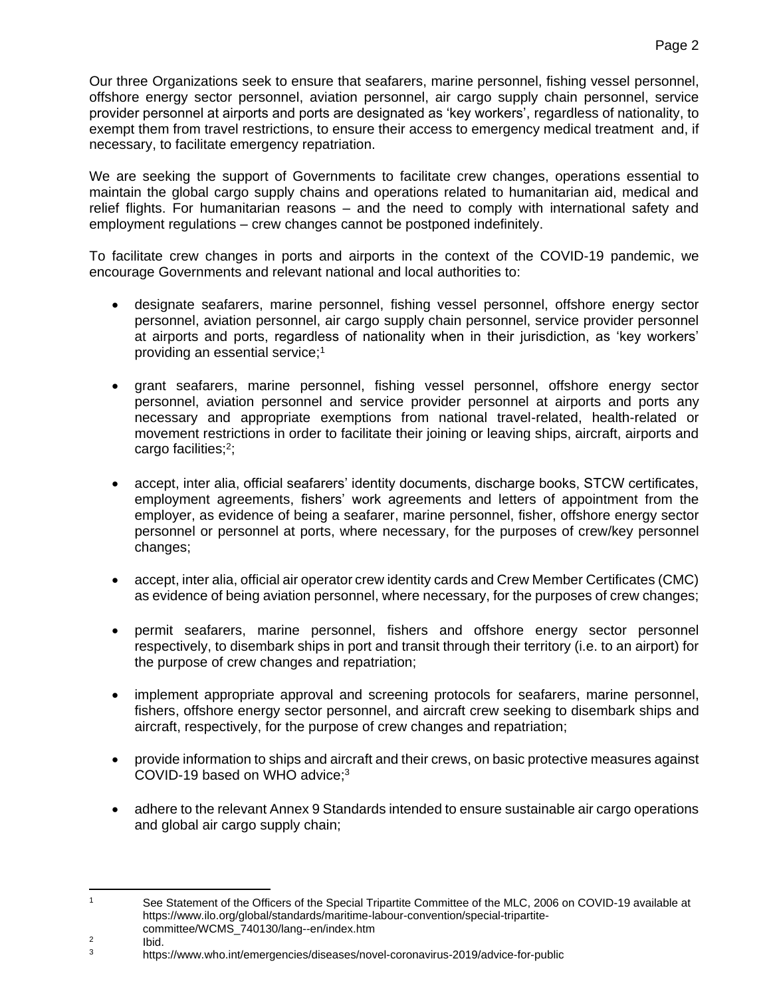We are seeking the support of Governments to facilitate crew changes, operations essential to maintain the global cargo supply chains and operations related to humanitarian aid, medical and relief flights. For humanitarian reasons – and the need to comply with international safety and employment regulations – crew changes cannot be postponed indefinitely.

To facilitate crew changes in ports and airports in the context of the COVID-19 pandemic, we encourage Governments and relevant national and local authorities to:

- designate seafarers, marine personnel, fishing vessel personnel, offshore energy sector personnel, aviation personnel, air cargo supply chain personnel, service provider personnel at airports and ports, regardless of nationality when in their jurisdiction, as 'key workers' providing an essential service;<sup>1</sup>
- grant seafarers, marine personnel, fishing vessel personnel, offshore energy sector personnel, aviation personnel and service provider personnel at airports and ports any necessary and appropriate exemptions from national travel-related, health-related or movement restrictions in order to facilitate their joining or leaving ships, aircraft, airports and cargo facilities;<sup>2</sup>;
- accept, inter alia, official seafarers' identity documents, discharge books, STCW certificates, employment agreements, fishers' work agreements and letters of appointment from the employer, as evidence of being a seafarer, marine personnel, fisher, offshore energy sector personnel or personnel at ports, where necessary, for the purposes of crew/key personnel changes;
- accept, inter alia, official air operator crew identity cards and Crew Member Certificates (CMC) as evidence of being aviation personnel, where necessary, for the purposes of crew changes;
- permit seafarers, marine personnel, fishers and offshore energy sector personnel respectively, to disembark ships in port and transit through their territory (i.e. to an airport) for the purpose of crew changes and repatriation;
- implement appropriate approval and screening protocols for seafarers, marine personnel, fishers, offshore energy sector personnel, and aircraft crew seeking to disembark ships and aircraft, respectively, for the purpose of crew changes and repatriation;
- provide information to ships and aircraft and their crews, on basic protective measures against COVID-19 based on WHO advice;<sup>3</sup>
- adhere to the relevant Annex 9 Standards intended to ensure sustainable air cargo operations and global air cargo supply chain;

 $\mathbf{1}$ See Statement of the Officers of the Special Tripartite Committee of the MLC, 2006 on COVID-19 available at https://www.ilo.org/global/standards/maritime-labour-convention/special-tripartitecommittee/WCMS\_740130/lang--en/index.htm

 $\overline{2}$ Ibid.

<sup>3</sup> <https://www.who.int/emergencies/diseases/novel-coronavirus-2019/advice-for-public>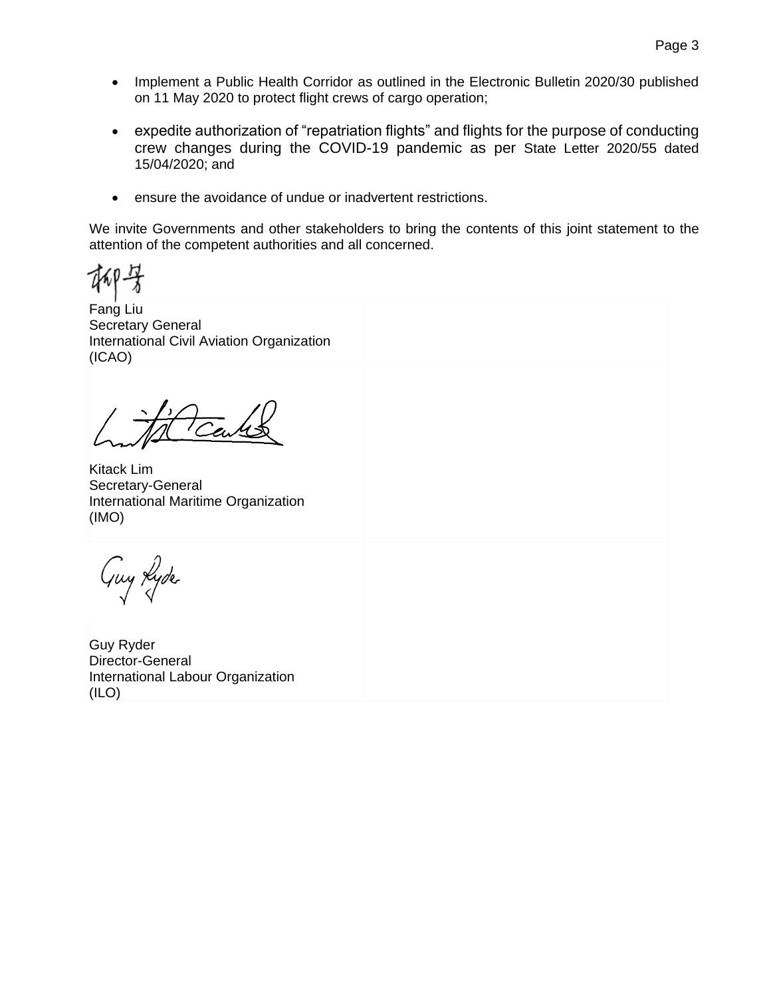- Implement a Public Health Corridor as outlined in the Electronic Bulletin 2020/30 published on 11 May 2020 to protect flight crews of cargo operation;
- expedite authorization of "repatriation flights" and flights for the purpose of conducting crew changes during the COVID-19 pandemic as per State Letter 2020/55 dated 15/04/2020; and
- ensure the avoidance of undue or inadvertent restrictions.

We invite Governments and other stakeholders to bring the contents of this joint statement to the attention of the competent authorities and all concerned.

Fang Liu Secretary General International Civil Aviation Organization (ICAO)

Tew

Kitack Lim Secretary-General International Maritime Organization (IMO)

Guy Lyde

Guy Ryder Director-General International Labour Organization (ILO)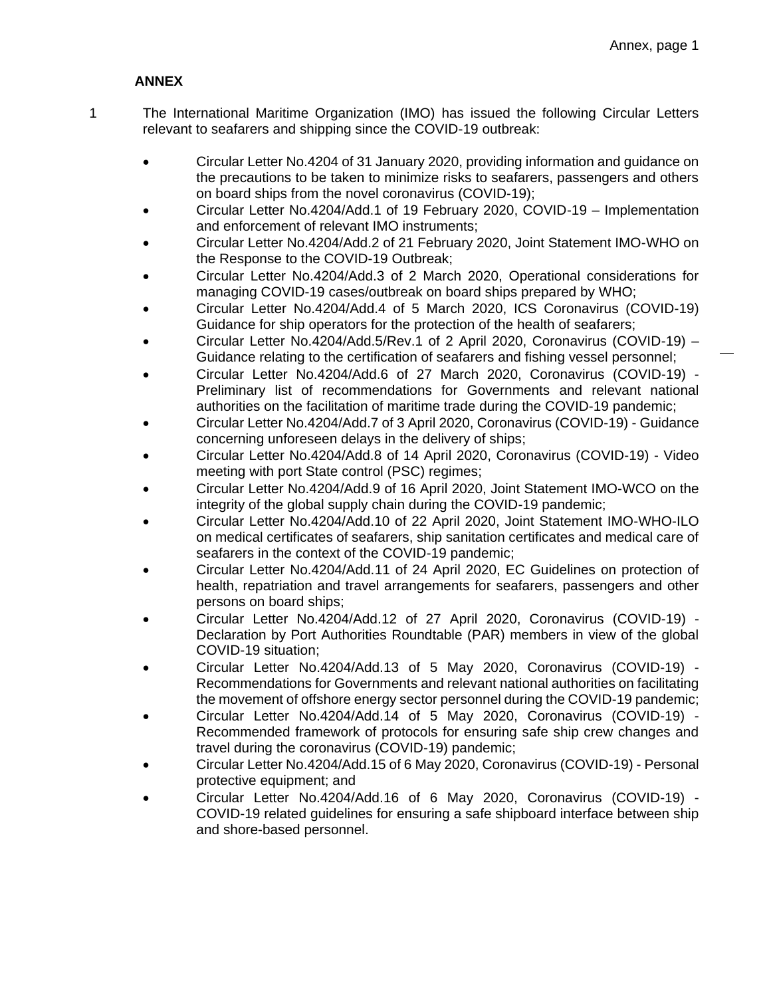## **ANNEX**

- 1 The International Maritime Organization (IMO) has issued the following Circular Letters relevant to seafarers and shipping since the COVID-19 outbreak:
	- Circular Letter No.4204 of 31 January 2020, providing information and guidance on the precautions to be taken to minimize risks to seafarers, passengers and others on board ships from the novel coronavirus (COVID-19);
	- Circular Letter No.4204/Add.1 of 19 February 2020, COVID-19 Implementation and enforcement of relevant IMO instruments;
	- Circular Letter No.4204/Add.2 of 21 February 2020, Joint Statement IMO-WHO on the Response to the COVID-19 Outbreak;
	- Circular Letter No.4204/Add.3 of 2 March 2020, Operational considerations for managing COVID-19 cases/outbreak on board ships prepared by WHO;
	- Circular Letter No.4204/Add.4 of 5 March 2020, ICS Coronavirus (COVID-19) Guidance for ship operators for the protection of the health of seafarers;
	- Circular Letter No.4204/Add.5/Rev.1 of 2 April 2020, Coronavirus (COVID-19) Guidance relating to the certification of seafarers and fishing vessel personnel;
	- Circular Letter No.4204/Add.6 of 27 March 2020, Coronavirus (COVID-19) Preliminary list of recommendations for Governments and relevant national authorities on the facilitation of maritime trade during the COVID-19 pandemic;
	- Circular Letter No.4204/Add.7 of 3 April 2020, Coronavirus (COVID-19) Guidance concerning unforeseen delays in the delivery of ships;
	- Circular Letter No.4204/Add.8 of 14 April 2020, Coronavirus (COVID-19) Video meeting with port State control (PSC) regimes;
	- Circular Letter No.4204/Add.9 of 16 April 2020, Joint Statement IMO-WCO on the integrity of the global supply chain during the COVID-19 pandemic;
	- Circular Letter No.4204/Add.10 of 22 April 2020, Joint Statement IMO-WHO-ILO on medical certificates of seafarers, ship sanitation certificates and medical care of seafarers in the context of the COVID-19 pandemic;
	- Circular Letter No.4204/Add.11 of 24 April 2020, EC Guidelines on protection of health, repatriation and travel arrangements for seafarers, passengers and other persons on board ships;
	- Circular Letter No.4204/Add.12 of 27 April 2020, Coronavirus (COVID-19) Declaration by Port Authorities Roundtable (PAR) members in view of the global COVID-19 situation;
	- Circular Letter No.4204/Add.13 of 5 May 2020, Coronavirus (COVID-19) Recommendations for Governments and relevant national authorities on facilitating the movement of offshore energy sector personnel during the COVID-19 pandemic;
	- Circular Letter No.4204/Add.14 of 5 May 2020, Coronavirus (COVID-19) Recommended framework of protocols for ensuring safe ship crew changes and travel during the coronavirus (COVID-19) pandemic;
	- Circular Letter No.4204/Add.15 of 6 May 2020, Coronavirus (COVID-19) Personal protective equipment; and
	- Circular Letter No.4204/Add.16 of 6 May 2020, Coronavirus (COVID-19) COVID-19 related guidelines for ensuring a safe shipboard interface between ship and shore-based personnel.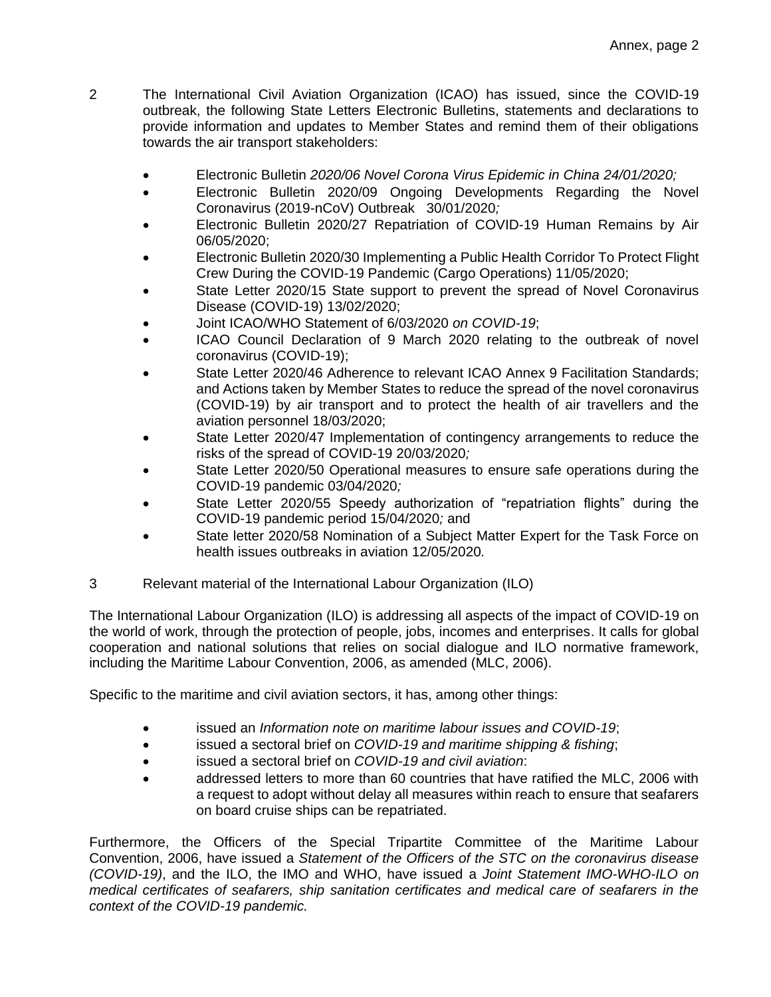- 2 The International Civil Aviation Organization (ICAO) has issued, since the COVID-19 outbreak, the following State Letters Electronic Bulletins, statements and declarations to provide information and updates to Member States and remind them of their obligations towards the air transport stakeholders:
	- Electronic Bulletin *2020/06 Novel Corona Virus Epidemic in China 24/01/2020;*
	- Electronic Bulletin 2020/09 Ongoing Developments Regarding the Novel Coronavirus (2019-nCoV) Outbreak 30/01/2020*;*
	- Electronic Bulletin 2020/27 Repatriation of COVID-19 Human Remains by Air 06/05/2020;
	- Electronic Bulletin 2020/30 Implementing a Public Health Corridor To Protect Flight Crew During the COVID-19 Pandemic (Cargo Operations) 11/05/2020;
	- State Letter 2020/15 State support to prevent the spread of Novel Coronavirus Disease (COVID-19) 13/02/2020;
	- Joint ICAO/WHO Statement of 6/03/2020 *on COVID-19*;
	- ICAO Council Declaration of 9 March 2020 relating to the outbreak of novel coronavirus (COVID-19);
	- State Letter 2020/46 Adherence to relevant ICAO Annex 9 Facilitation Standards; and Actions taken by Member States to reduce the spread of the novel coronavirus (COVID-19) by air transport and to protect the health of air travellers and the aviation personnel 18/03/2020;
	- State Letter 2020/47 Implementation of contingency arrangements to reduce the risks of the spread of COVID-19 20/03/2020*;*
	- State Letter 2020/50 Operational measures to ensure safe operations during the COVID-19 pandemic 03/04/2020*;*
	- State Letter 2020/55 Speedy authorization of "repatriation flights" during the COVID-19 pandemic period 15/04/2020*;* and
	- State letter 2020/58 Nomination of a Subject Matter Expert for the Task Force on health issues outbreaks in aviation 12/05/2020*.*
- 3 Relevant material of the International Labour Organization (ILO)

The International Labour Organization (ILO) is addressing all aspects of the impact of COVID-19 on the world of work, through the protection of people, jobs, incomes and enterprises. It calls for global cooperation and national solutions that relies on social dialogue and ILO normative framework, including the Maritime Labour Convention, 2006, as amended (MLC, 2006).

Specific to the maritime and civil aviation sectors, it has, among other things:

- issued an *[Information note](https://www.ilo.org/global/standards/maritime-labour-convention/WCMS_741024/lang--en/index.htm) on maritime labour issues and COVID-19*;
- issued a sectoral brief on *COVID-19 and maritime shipping & fishing*;
- issued a sectoral brief on *COVID-19 and civil aviation*:
- addressed letters to more than 60 countries that have ratified the MLC, 2006 with a request to adopt without delay all measures within reach to ensure that seafarers on board cruise ships can be repatriated.

Furthermore, the Officers of the Special Tripartite Committee of the Maritime Labour Convention, 2006, have issued a *Statement of the Officers of the STC on the coronavirus disease (COVID-19)*, and the ILO, the IMO and WHO, have issued a *Joint Statement IMO-WHO-ILO on medical certificates of seafarers, ship sanitation certificates and medical care of seafarers in the context of the COVID-19 pandemic.*